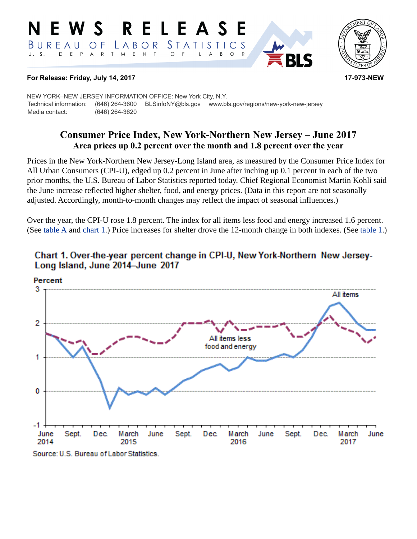#### RELEASE E W S *STATISTICS* BUREAU LABOR O F D E P  $E$  N  $\top$  $U. S.$  $\overline{A}$  $\mathsf{R}$  $\top$ M  $\circ$ B  $\circ$ A



#### **For Release: Friday, July 14, 2017 17-973-NEW**

NEW YORK–NEW JERSEY INFORMATION OFFICE: New York City, N.Y. Technical information: (646) 264-3600 BLSinfoNY@bls.gov www.bls.gov/regions/new-york-new-jersey Media contact: (646) 264-3620

# **Consumer Price Index, New York-Northern New Jersey – June 2017 Area prices up 0.2 percent over the month and 1.8 percent over the year**

Prices in the New York-Northern New Jersey-Long Island area, as measured by the Consumer Price Index for All Urban Consumers (CPI-U), edged up 0.2 percent in June after inching up 0.1 percent in each of the two prior months, the U.S. Bureau of Labor Statistics reported today. Chief Regional Economist Martin Kohli said the June increase reflected higher shelter, food, and energy prices. (Data in this report are not seasonally adjusted. Accordingly, month-to-month changes may reflect the impact of seasonal influences.)

Over the year, the CPI-U rose 1.8 percent. The index for all items less food and energy increased 1.6 percent. (See [table A](#page-1-0) and [chart 1.](#page-0-0)) Price increases for shelter drove the 12-month change in both indexes. (See [table 1](#page-3-0).)



## <span id="page-0-0"></span>Chart 1. Over-the-year percent change in CPI-U, New York-Northern New Jersey-Long Island, June 2014-June 2017

#### Source: U.S. Bureau of Labor Statistics.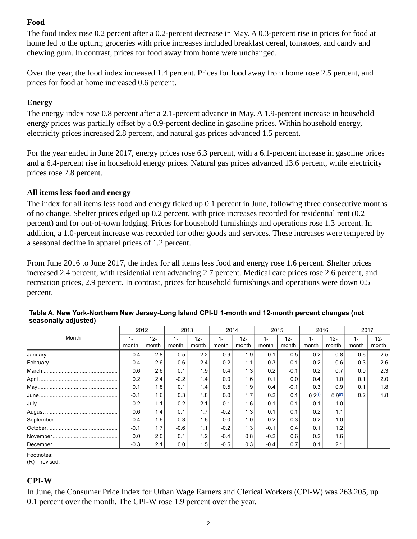## **Food**

The food index rose 0.2 percent after a 0.2-percent decrease in May. A 0.3-percent rise in prices for food at home led to the upturn; groceries with price increases included breakfast cereal, tomatoes, and candy and chewing gum. In contrast, prices for food away from home were unchanged.

Over the year, the food index increased 1.4 percent. Prices for food away from home rose 2.5 percent, and prices for food at home increased 0.6 percent.

## **Energy**

The energy index rose 0.8 percent after a 2.1-percent advance in May. A 1.9-percent increase in household energy prices was partially offset by a 0.9-percent decline in gasoline prices. Within household energy, electricity prices increased 2.8 percent, and natural gas prices advanced 1.5 percent.

For the year ended in June 2017, energy prices rose 6.3 percent, with a 6.1-percent increase in gasoline prices and a 6.4-percent rise in household energy prices. Natural gas prices advanced 13.6 percent, while electricity prices rose 2.8 percent.

## **All items less food and energy**

The index for all items less food and energy ticked up 0.1 percent in June, following three consecutive months of no change. Shelter prices edged up 0.2 percent, with price increases recorded for residential rent (0.2 percent) and for out-of-town lodging. Prices for household furnishings and operations rose 1.3 percent. In addition, a 1.0-percent increase was recorded for other goods and services. These increases were tempered by a seasonal decline in apparel prices of 1.2 percent.

From June 2016 to June 2017, the index for all items less food and energy rose 1.6 percent. Shelter prices increased 2.4 percent, with residential rent advancing 2.7 percent. Medical care prices rose 2.6 percent, and recreation prices, 2.9 percent. In contrast, prices for household furnishings and operations were down 0.5 percent.

|       | 2012         |                 | 2013   |                 | 2014   |                 | 2015         |                 | 2016        |                    | 2017  |                 |
|-------|--------------|-----------------|--------|-----------------|--------|-----------------|--------------|-----------------|-------------|--------------------|-------|-----------------|
| Month | ı –<br>month | $12 -$<br>month | month  | $12 -$<br>month | month  | $12 -$<br>month | ı –<br>month | $12 -$<br>month | 1-<br>month | $12-$<br>month     | month | $12 -$<br>month |
|       | 0.4          | 2.8             | 0.5    | 2.2             | 0.9    | 1.9             | 0.1          | $-0.5$          | 0.2         | 0.8                | 0.6   | 2.5             |
|       | 0.4          | 2.6             | 0.6    | 2.4             | $-0.2$ | 1.1             | 0.3          | 0.1             | 0.2         | 0.6                | 0.3   | 2.6             |
|       | 0.6          | 2.6             | 0.1    | 1.9             | 0.4    | 1.3             | 0.2          | $-0.1$          | 0.2         | 0.7                | 0.0   | 2.3             |
|       | 0.2          | 2.4             | $-0.2$ | 1.4             | 0.0    | 1.6             | 0.1          | 0.0             | 0.4         | 1.0                | 0.1   | 2.0             |
|       | 0.1          | 1.8             | 0.1    | 1.4             | 0.5    | 1.9             | 0.4          | $-0.1$          | 0.3         | 0.9                | 0.1   | 1.8             |
|       | $-0.1$       | 1.6             | 0.3    | 1.8             | 0.0    | 1.7             | 0.2          | 0.1             | 0.2(r)      | 0.9 <sup>(r)</sup> | 0.2   | 1.8             |
|       | $-0.2$       | 1.1             | 0.2    | 2.1             | 0.1    | 1.6             | $-0.1$       | $-0.1$          | $-0.1$      | 1.0                |       |                 |
|       | 0.6          | 1.4             | 0.1    | 1.7             | $-0.2$ | 1.3             | 0.1          | 0.1             | 0.2         | 1.1                |       |                 |
|       | 0.4          | 1.6             | 0.3    | 1.6             | 0.0    | 1.0             | 0.2          | 0.3             | 0.2         | 1.0                |       |                 |
|       | $-0.1$       | 1.7             | $-0.6$ | 1.1             | $-0.2$ | 1.3             | $-0.1$       | 0.4             | 0.1         | 1.2                |       |                 |
|       | 0.0          | 2.0             | 0.1    | 1.2             | $-0.4$ | 0.8             | $-0.2$       | 0.6             | 0.2         | 1.6                |       |                 |
|       | $-0.3$       | 2.1             | 0.0    | 1.5             | $-0.5$ | 0.3             | $-0.4$       | 0.7             | 0.1         | 2.1                |       |                 |

<span id="page-1-0"></span>

| Table A. New York-Northern New Jersey-Long Island CPI-U 1-month and 12-month percent changes (not |  |
|---------------------------------------------------------------------------------------------------|--|
| seasonally adjusted)                                                                              |  |

Footnotes:

<span id="page-1-1"></span> $(R)$  = revised.

## **CPI-W**

In June, the Consumer Price Index for Urban Wage Earners and Clerical Workers (CPI-W) was 263.205, up 0.1 percent over the month. The CPI-W rose 1.9 percent over the year.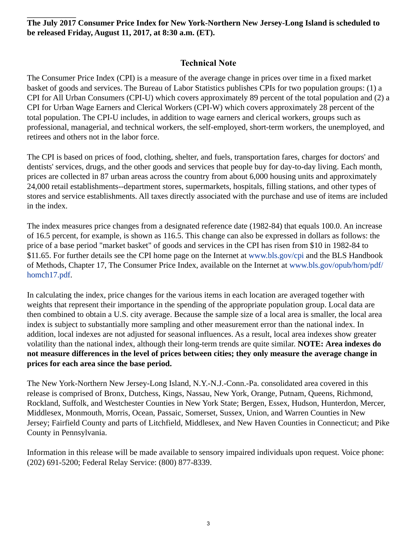**The July 2017 Consumer Price Index for New York-Northern New Jersey-Long Island is scheduled to be released Friday, August 11, 2017, at 8:30 a.m. (ET).**

## **Technical Note**

The Consumer Price Index (CPI) is a measure of the average change in prices over time in a fixed market basket of goods and services. The Bureau of Labor Statistics publishes CPIs for two population groups: (1) a CPI for All Urban Consumers (CPI-U) which covers approximately 89 percent of the total population and (2) a CPI for Urban Wage Earners and Clerical Workers (CPI-W) which covers approximately 28 percent of the total population. The CPI-U includes, in addition to wage earners and clerical workers, groups such as professional, managerial, and technical workers, the self-employed, short-term workers, the unemployed, and retirees and others not in the labor force.

The CPI is based on prices of food, clothing, shelter, and fuels, transportation fares, charges for doctors' and dentists' services, drugs, and the other goods and services that people buy for day-to-day living. Each month, prices are collected in 87 urban areas across the country from about 6,000 housing units and approximately 24,000 retail establishments--department stores, supermarkets, hospitals, filling stations, and other types of stores and service establishments. All taxes directly associated with the purchase and use of items are included in the index.

The index measures price changes from a designated reference date (1982-84) that equals 100.0. An increase of 16.5 percent, for example, is shown as 116.5. This change can also be expressed in dollars as follows: the price of a base period "market basket" of goods and services in the CPI has risen from \$10 in 1982-84 to \$11.65. For further details see the CPI home page on the Internet at [www.bls.gov/cpi](https://www.bls.gov/cpi) and the BLS Handbook of Methods, Chapter 17, The Consumer Price Index, available on the Internet at [www.bls.gov/opub/hom/pdf/](https://www.bls.gov/opub/hom/pdf/homch17.pdf) [homch17.pdf](https://www.bls.gov/opub/hom/pdf/homch17.pdf).

In calculating the index, price changes for the various items in each location are averaged together with weights that represent their importance in the spending of the appropriate population group. Local data are then combined to obtain a U.S. city average. Because the sample size of a local area is smaller, the local area index is subject to substantially more sampling and other measurement error than the national index. In addition, local indexes are not adjusted for seasonal influences. As a result, local area indexes show greater volatility than the national index, although their long-term trends are quite similar. **NOTE: Area indexes do not measure differences in the level of prices between cities; they only measure the average change in prices for each area since the base period.**

The New York-Northern New Jersey-Long Island, N.Y.-N.J.-Conn.-Pa. consolidated area covered in this release is comprised of Bronx, Dutchess, Kings, Nassau, New York, Orange, Putnam, Queens, Richmond, Rockland, Suffolk, and Westchester Counties in New York State; Bergen, Essex, Hudson, Hunterdon, Mercer, Middlesex, Monmouth, Morris, Ocean, Passaic, Somerset, Sussex, Union, and Warren Counties in New Jersey; Fairfield County and parts of Litchfield, Middlesex, and New Haven Counties in Connecticut; and Pike County in Pennsylvania.

Information in this release will be made available to sensory impaired individuals upon request. Voice phone: (202) 691-5200; Federal Relay Service: (800) 877-8339.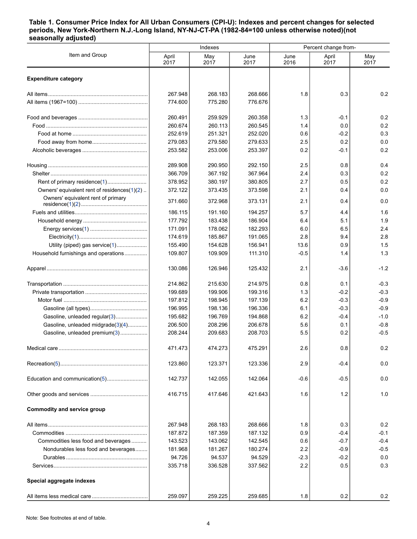#### <span id="page-3-0"></span>**Table 1. Consumer Price Index for All Urban Consumers (CPI-U): Indexes and percent changes for selected periods, New York-Northern N.J.-Long Island, NY-NJ-CT-PA (1982-84=100 unless otherwise noted)(not seasonally adjusted)**

|                                                  |               | Indexes     |              | Percent change from- |               |             |  |
|--------------------------------------------------|---------------|-------------|--------------|----------------------|---------------|-------------|--|
| Item and Group                                   | April<br>2017 | May<br>2017 | June<br>2017 | June<br>2016         | April<br>2017 | May<br>2017 |  |
| <b>Expenditure category</b>                      |               |             |              |                      |               |             |  |
|                                                  | 267.948       | 268.183     | 268.666      | 1.8                  | 0.3           | 0.2         |  |
|                                                  | 774.600       | 775.280     | 776.676      |                      |               |             |  |
|                                                  | 260.491       | 259.929     | 260.358      | 1.3                  | $-0.1$        | 0.2         |  |
|                                                  | 260.674       | 260.113     | 260.545      | 1.4                  | 0.0           | 0.2         |  |
|                                                  | 252.619       | 251.321     | 252.020      | 0.6                  | $-0.2$        | 0.3         |  |
|                                                  | 279.083       | 279.580     | 279.633      | 2.5                  | 0.2           | 0.0         |  |
|                                                  | 253.582       | 253.006     | 253.397      | 0.2                  | -0.1          | 0.2         |  |
|                                                  | 289.908       | 290.950     | 292.150      | 2.5                  | 0.8           | 0.4         |  |
|                                                  | 366.709       | 367.192     | 367.964      | 2.4                  | 0.3           | 0.2         |  |
| Rent of primary residence(1)                     | 378.952       | 380.197     | 380.805      | 2.7                  | 0.5           | 0.2         |  |
| Owners' equivalent rent of residences $(1)(2)$ . | 372.122       | 373.435     | 373.598      | 2.1                  | 0.4           | 0.0         |  |
| Owners' equivalent rent of primary               | 371.660       | 372.968     | 373.131      | 2.1                  | 0.4           | 0.0         |  |
|                                                  | 186.115       | 191.160     | 194.257      | 5.7                  | 4.4           | 1.6         |  |
|                                                  | 177.792       | 183.438     | 186.904      | 6.4                  | 5.1           | 1.9         |  |
|                                                  | 171.091       | 178.062     | 182.293      | 6.0                  | 6.5           | 2.4         |  |
|                                                  | 174.619       | 185.867     | 191.065      | 2.8                  | 9.4           | 2.8         |  |
| Utility (piped) gas service(1)                   | 155.490       | 154.628     | 156.941      | 13.6                 | 0.9           | 1.5         |  |
| Household furnishings and operations             | 109.807       | 109.909     | 111.310      | $-0.5$               | 1.4           | 1.3         |  |
|                                                  | 130.086       | 126.946     | 125.432      | 2.1                  | $-3.6$        | $-1.2$      |  |
|                                                  | 214.862       | 215.630     | 214.975      | 0.8                  | 0.1           | $-0.3$      |  |
|                                                  | 199.689       | 199.906     | 199.316      | 1.3                  | $-0.2$        | $-0.3$      |  |
|                                                  | 197.812       | 198.945     | 197.139      | 6.2                  | $-0.3$        | $-0.9$      |  |
|                                                  | 196.995       | 198.136     | 196.336      | 6.1                  | $-0.3$        | $-0.9$      |  |
| Gasoline, unleaded regular(3)                    | 195.682       | 196.769     | 194.868      | 6.2                  | $-0.4$        | $-1.0$      |  |
| Gasoline, unleaded midgrade(3)(4)                | 206.500       | 208.296     | 206.678      | 5.6                  | 0.1           | $-0.8$      |  |
| Gasoline, unleaded premium(3)                    | 208.244       | 209.683     | 208.703      | 5.5                  | 0.2           | $-0.5$      |  |
| Medical care                                     | 471.473       | 474.273     | 475.291      | 2.6                  | 0.8           | 0.2         |  |
|                                                  | 123.860       | 123.371     | 123.336      | 2.9                  | $-0.4$        | 0.0         |  |
| Education and communication(5)                   | 142.737       | 142.055     | 142.064      | $-0.6$               | $-0.5$        | 0.0         |  |
|                                                  | 416.715       | 417.646     | 421.643      | 1.6                  | 1.2           | 1.0         |  |
| <b>Commodity and service group</b>               |               |             |              |                      |               |             |  |
|                                                  | 267.948       | 268.183     | 268.666      | 1.8                  | 0.3           | 0.2         |  |
|                                                  | 187.872       | 187.359     | 187.132      | 0.9                  | $-0.4$        | $-0.1$      |  |
| Commodities less food and beverages              | 143.523       | 143.062     | 142.545      | 0.6                  | $-0.7$        | $-0.4$      |  |
| Nondurables less food and beverages              | 181.968       | 181.267     | 180.274      | 2.2                  | $-0.9$        | $-0.5$      |  |
|                                                  | 94.726        | 94.537      | 94.529       | $-2.3$               | $-0.2$        | 0.0         |  |
|                                                  | 335.718       | 336.528     | 337.562      | 2.2                  | 0.5           | 0.3         |  |
| Special aggregate indexes                        |               |             |              |                      |               |             |  |
|                                                  | 259.097       | 259.225     | 259.685      | 1.8                  | 0.2           | 0.2         |  |
|                                                  |               |             |              |                      |               |             |  |